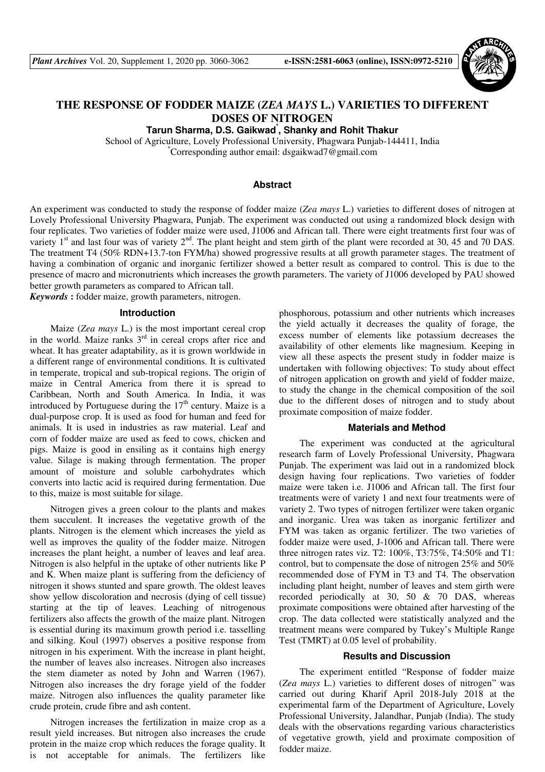

# **THE RESPONSE OF FODDER MAIZE (***ZEA MAYS* **L.) VARIETIES TO DIFFERENT DOSES OF NITROGEN**

**Tarun Sharma, D.S. Gaikwad\* , Shanky and Rohit Thakur** 

School of Agriculture, Lovely Professional University, Phagwara Punjab-144411, India \*Corresponding author email: dsgaikwad7@gmail.com

### **Abstract**

An experiment was conducted to study the response of fodder maize (*Zea mays* L.) varieties to different doses of nitrogen at Lovely Professional University Phagwara, Punjab. The experiment was conducted out using a randomized block design with four replicates. Two varieties of fodder maize were used, J1006 and African tall. There were eight treatments first four was of variety  $1<sup>st</sup>$  and last four was of variety  $2<sup>nd</sup>$ . The plant height and stem girth of the plant were recorded at 30, 45 and 70 DAS. The treatment T4 (50% RDN+13.7-ton FYM/ha) showed progressive results at all growth parameter stages. The treatment of having a combination of organic and inorganic fertilizer showed a better result as compared to control. This is due to the presence of macro and micronutrients which increases the growth parameters. The variety of J1006 developed by PAU showed better growth parameters as compared to African tall.

*Keywords* **:** fodder maize, growth parameters, nitrogen.

#### **Introduction**

Maize (*Zea mays* L.) is the most important cereal crop in the world. Maize ranks 3<sup>rd</sup> in cereal crops after rice and wheat. It has greater adaptability, as it is grown worldwide in a different range of environmental conditions. It is cultivated in temperate, tropical and sub-tropical regions. The origin of maize in Central America from there it is spread to Caribbean, North and South America. In India, it was introduced by Portuguese during the  $17<sup>th</sup>$  century. Maize is a dual-purpose crop. It is used as food for human and feed for animals. It is used in industries as raw material. Leaf and corn of fodder maize are used as feed to cows, chicken and pigs. Maize is good in ensiling as it contains high energy value. Silage is making through fermentation. The proper amount of moisture and soluble carbohydrates which converts into lactic acid is required during fermentation. Due to this, maize is most suitable for silage.

Nitrogen gives a green colour to the plants and makes them succulent. It increases the vegetative growth of the plants. Nitrogen is the element which increases the yield as well as improves the quality of the fodder maize. Nitrogen increases the plant height, a number of leaves and leaf area. Nitrogen is also helpful in the uptake of other nutrients like P and K. When maize plant is suffering from the deficiency of nitrogen it shows stunted and spare growth. The oldest leaves show yellow discoloration and necrosis (dying of cell tissue) starting at the tip of leaves. Leaching of nitrogenous fertilizers also affects the growth of the maize plant. Nitrogen is essential during its maximum growth period i.e. tasselling and silking. Koul (1997) observes a positive response from nitrogen in his experiment. With the increase in plant height, the number of leaves also increases. Nitrogen also increases the stem diameter as noted by John and Warren (1967). Nitrogen also increases the dry forage yield of the fodder maize. Nitrogen also influences the quality parameter like crude protein, crude fibre and ash content.

Nitrogen increases the fertilization in maize crop as a result yield increases. But nitrogen also increases the crude protein in the maize crop which reduces the forage quality. It is not acceptable for animals. The fertilizers like

phosphorous, potassium and other nutrients which increases the yield actually it decreases the quality of forage, the excess number of elements like potassium decreases the availability of other elements like magnesium. Keeping in view all these aspects the present study in fodder maize is undertaken with following objectives: To study about effect of nitrogen application on growth and yield of fodder maize, to study the change in the chemical composition of the soil due to the different doses of nitrogen and to study about proximate composition of maize fodder.

### **Materials and Method**

The experiment was conducted at the agricultural research farm of Lovely Professional University, Phagwara Punjab. The experiment was laid out in a randomized block design having four replications. Two varieties of fodder maize were taken i.e. J1006 and African tall. The first four treatments were of variety 1 and next four treatments were of variety 2. Two types of nitrogen fertilizer were taken organic and inorganic. Urea was taken as inorganic fertilizer and FYM was taken as organic fertilizer. The two varieties of fodder maize were used, J-1006 and African tall. There were three nitrogen rates viz. T2: 100%, T3:75%, T4:50% and T1: control, but to compensate the dose of nitrogen 25% and 50% recommended dose of FYM in T3 and T4. The observation including plant height, number of leaves and stem girth were recorded periodically at 30, 50 & 70 DAS, whereas proximate compositions were obtained after harvesting of the crop. The data collected were statistically analyzed and the treatment means were compared by Tukey's Multiple Range Test (TMRT) at 0.05 level of probability.

#### **Results and Discussion**

The experiment entitled "Response of fodder maize (*Zea mays* L.) varieties to different doses of nitrogen" was carried out during Kharif April 2018-July 2018 at the experimental farm of the Department of Agriculture, Lovely Professional University, Jalandhar, Punjab (India). The study deals with the observations regarding various characteristics of vegetative growth, yield and proximate composition of fodder maize.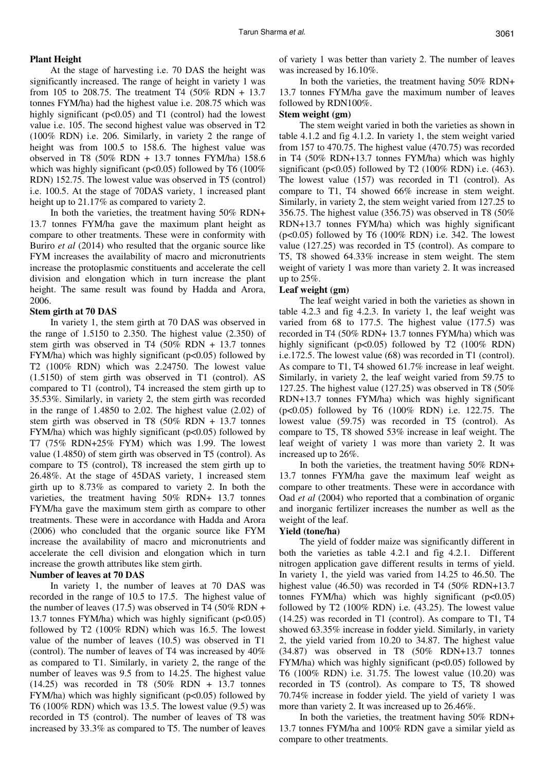# **Plant Height**

At the stage of harvesting i.e. 70 DAS the height was significantly increased. The range of height in variety 1 was from 105 to 208.75. The treatment T4 (50% RDN + 13.7 tonnes FYM/ha) had the highest value i.e. 208.75 which was highly significant ( $p<0.05$ ) and T1 (control) had the lowest value i.e. 105. The second highest value was observed in T2 (100% RDN) i.e. 206. Similarly, in variety 2 the range of height was from 100.5 to 158.6. The highest value was observed in T8 (50% RDN + 13.7 tonnes FYM/ha) 158.6 which was highly significant ( $p<0.05$ ) followed by T6 (100%) RDN) 152.75. The lowest value was observed in T5 (control) i.e. 100.5. At the stage of 70DAS variety, 1 increased plant height up to 21.17% as compared to variety 2.

In both the varieties, the treatment having 50% RDN+ 13.7 tonnes FYM/ha gave the maximum plant height as compare to other treatments. These were in conformity with Buriro *et al* (2014) who resulted that the organic source like FYM increases the availability of macro and micronutrients increase the protoplasmic constituents and accelerate the cell division and elongation which in turn increase the plant height. The same result was found by Hadda and Arora, 2006.

# **Stem girth at 70 DAS**

In variety 1, the stem girth at 70 DAS was observed in the range of 1.5150 to 2.350. The highest value (2.350) of stem girth was observed in T4 (50% RDN + 13.7 tonnes FYM/ha) which was highly significant (p<0.05) followed by T2 (100% RDN) which was 2.24750. The lowest value (1.5150) of stem girth was observed in T1 (control). AS compared to T1 (control), T4 increased the stem girth up to 35.53%. Similarly, in variety 2, the stem girth was recorded in the range of 1.4850 to 2.02. The highest value (2.02) of stem girth was observed in T8 (50% RDN + 13.7 tonnes FYM/ha) which was highly significant ( $p<0.05$ ) followed by T7 (75% RDN+25% FYM) which was 1.99. The lowest value (1.4850) of stem girth was observed in T5 (control). As compare to T5 (control), T8 increased the stem girth up to 26.48%. At the stage of 45DAS variety, 1 increased stem girth up to 8.73% as compared to variety 2. In both the varieties, the treatment having 50% RDN+ 13.7 tonnes FYM/ha gave the maximum stem girth as compare to other treatments. These were in accordance with Hadda and Arora (2006) who concluded that the organic source like FYM increase the availability of macro and micronutrients and accelerate the cell division and elongation which in turn increase the growth attributes like stem girth.

# **Number of leaves at 70 DAS**

In variety 1, the number of leaves at 70 DAS was recorded in the range of 10.5 to 17.5. The highest value of the number of leaves (17.5) was observed in T4 (50% RDN + 13.7 tonnes FYM/ha) which was highly significant  $(p<0.05)$ followed by T2 (100% RDN) which was 16.5. The lowest value of the number of leaves (10.5) was observed in T1 (control). The number of leaves of T4 was increased by 40% as compared to T1. Similarly, in variety 2, the range of the number of leaves was 9.5 from to 14.25. The highest value  $(14.25)$  was recorded in T8  $(50\%$  RDN + 13.7 tonnes FYM/ha) which was highly significant (p<0.05) followed by T6 (100% RDN) which was 13.5. The lowest value (9.5) was recorded in T5 (control). The number of leaves of T8 was increased by 33.3% as compared to T5. The number of leaves

of variety 1 was better than variety 2. The number of leaves was increased by 16.10%.

In both the varieties, the treatment having 50% RDN+ 13.7 tonnes FYM/ha gave the maximum number of leaves followed by RDN100%.

# **Stem weight (gm)**

The stem weight varied in both the varieties as shown in table 4.1.2 and fig 4.1.2. In variety 1, the stem weight varied from 157 to 470.75. The highest value (470.75) was recorded in T4 (50% RDN+13.7 tonnes FYM/ha) which was highly significant ( $p<0.05$ ) followed by T2 (100% RDN) i.e. (463). The lowest value (157) was recorded in T1 (control). As compare to T1, T4 showed 66% increase in stem weight. Similarly, in variety 2, the stem weight varied from 127.25 to 356.75. The highest value (356.75) was observed in T8 (50% RDN+13.7 tonnes FYM/ha) which was highly significant ( $p<0.05$ ) followed by T6 ( $100\%$  RDN) i.e. 342. The lowest value (127.25) was recorded in T5 (control). As compare to T5, T8 showed 64.33% increase in stem weight. The stem weight of variety 1 was more than variety 2. It was increased up to 25%.

# **Leaf weight (gm)**

The leaf weight varied in both the varieties as shown in table 4.2.3 and fig 4.2.3. In variety 1, the leaf weight was varied from 68 to 177.5. The highest value (177.5) was recorded in T4 (50% RDN+ 13.7 tonnes FYM/ha) which was highly significant (p<0.05) followed by T2 (100% RDN) i.e.172.5. The lowest value (68) was recorded in T1 (control). As compare to T1, T4 showed 61.7% increase in leaf weight. Similarly, in variety 2, the leaf weight varied from 59.75 to 127.25. The highest value (127.25) was observed in T8 (50% RDN+13.7 tonnes FYM/ha) which was highly significant (p<0.05) followed by T6 (100% RDN) i.e. 122.75. The lowest value (59.75) was recorded in T5 (control). As compare to T5, T8 showed 53% increase in leaf weight. The leaf weight of variety 1 was more than variety 2. It was increased up to 26%.

In both the varieties, the treatment having 50% RDN+ 13.7 tonnes FYM/ha gave the maximum leaf weight as compare to other treatments. These were in accordance with Oad *et al* (2004) who reported that a combination of organic and inorganic fertilizer increases the number as well as the weight of the leaf.

### **Yield (tone/ha)**

The yield of fodder maize was significantly different in both the varieties as table 4.2.1 and fig 4.2.1. Different nitrogen application gave different results in terms of yield. In variety 1, the yield was varied from 14.25 to 46.50. The highest value (46.50) was recorded in T4 (50% RDN+13.7 tonnes FYM/ha) which was highly significant  $(p<0.05)$ followed by T2 (100% RDN) i.e. (43.25). The lowest value (14.25) was recorded in T1 (control). As compare to T1, T4 showed 63.35% increase in fodder yield. Similarly, in variety 2, the yield varied from 10.20 to 34.87. The highest value (34.87) was observed in T8 (50% RDN+13.7 tonnes FYM/ha) which was highly significant ( $p<0.05$ ) followed by T6 (100% RDN) i.e. 31.75. The lowest value (10.20) was recorded in T5 (control). As compare to T5, T8 showed 70.74% increase in fodder yield. The yield of variety 1 was more than variety 2. It was increased up to 26.46%.

In both the varieties, the treatment having 50% RDN+ 13.7 tonnes FYM/ha and 100% RDN gave a similar yield as compare to other treatments.